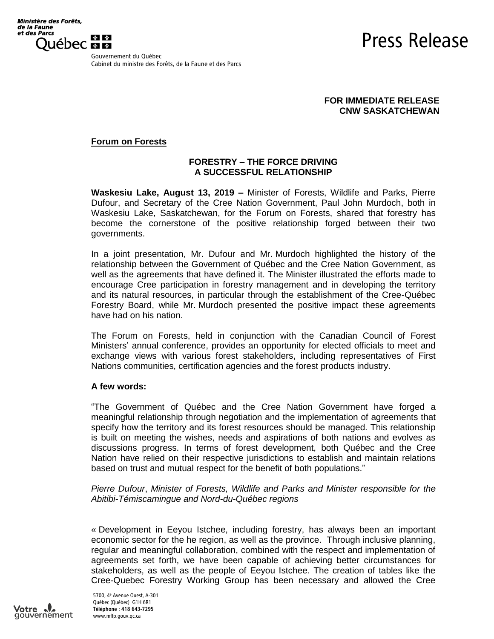Press Release

Gouvernement du Québec Cabinet du ministre des Forêts, de la Faune et des Parcs

# **FOR IMMEDIATE RELEASE CNW SASKATCHEWAN**

# **Forum on Forests**

# **FORESTRY – THE FORCE DRIVING A SUCCESSFUL RELATIONSHIP**

**Waskesiu Lake, August 13, 2019 –** Minister of Forests, Wildlife and Parks, Pierre Dufour, and Secretary of the Cree Nation Government, Paul John Murdoch, both in Waskesiu Lake, Saskatchewan, for the Forum on Forests, shared that forestry has become the cornerstone of the positive relationship forged between their two governments.

In a joint presentation, Mr. Dufour and Mr. Murdoch highlighted the history of the relationship between the Government of Québec and the Cree Nation Government, as well as the agreements that have defined it. The Minister illustrated the efforts made to encourage Cree participation in forestry management and in developing the territory and its natural resources, in particular through the establishment of the Cree-Québec Forestry Board, while Mr. Murdoch presented the positive impact these agreements have had on his nation.

The Forum on Forests, held in conjunction with the Canadian Council of Forest Ministers' annual conference, provides an opportunity for elected officials to meet and exchange views with various forest stakeholders, including representatives of First Nations communities, certification agencies and the forest products industry.

#### **A few words:**

"The Government of Québec and the Cree Nation Government have forged a meaningful relationship through negotiation and the implementation of agreements that specify how the territory and its forest resources should be managed. This relationship is built on meeting the wishes, needs and aspirations of both nations and evolves as discussions progress. In terms of forest development, both Québec and the Cree Nation have relied on their respective jurisdictions to establish and maintain relations based on trust and mutual respect for the benefit of both populations."

*Pierre Dufour*, *Minister of Forests, Wildlife and Parks and Minister responsible for the Abitibi-Témiscamingue and Nord-du-Québec regions*

« Development in Eeyou Istchee, including forestry, has always been an important economic sector for the he region, as well as the province. Through inclusive planning, regular and meaningful collaboration, combined with the respect and implementation of agreements set forth, we have been capable of achieving better circumstances for stakeholders, as well as the people of Eeyou Istchee. The creation of tables like the Cree-Quebec Forestry Working Group has been necessary and allowed the Cree

Votre gouvernement

5700, 4 <sup>e</sup> Avenue Ouest, A-301 Québec (Québec) G1H 6R1 Téléphone : 418 643-7295 www.mffp.gouv.qc.ca